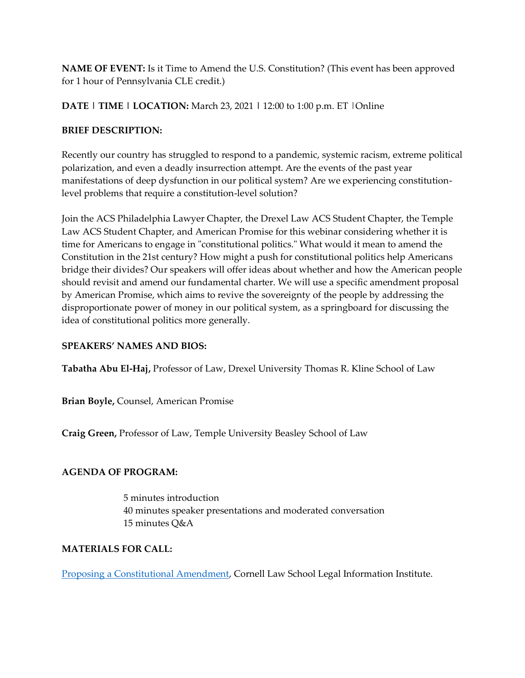**NAME OF EVENT:** Is it Time to Amend the U.S. Constitution? (This event has been approved for 1 hour of Pennsylvania CLE credit.)

**DATE | TIME | LOCATION:** March 23, 2021 **|** 12:00 to 1:00 p.m. ET |Online

## **BRIEF DESCRIPTION:**

Recently our country has struggled to respond to a pandemic, systemic racism, extreme political polarization, and even a deadly insurrection attempt. Are the events of the past year manifestations of deep dysfunction in our political system? Are we experiencing constitutionlevel problems that require a constitution-level solution?

Join the ACS Philadelphia Lawyer Chapter, the Drexel Law ACS Student Chapter, the Temple Law ACS Student Chapter, and American Promise for this webinar considering whether it is time for Americans to engage in "constitutional politics." What would it mean to amend the Constitution in the 21st century? How might a push for constitutional politics help Americans bridge their divides? Our speakers will offer ideas about whether and how the American people should revisit and amend our fundamental charter. We will use a specific amendment proposal by American Promise, which aims to revive the sovereignty of the people by addressing the disproportionate power of money in our political system, as a springboard for discussing the idea of constitutional politics more generally.

## **SPEAKERS' NAMES AND BIOS:**

**Tabatha Abu El-Haj,** Professor of Law, Drexel University Thomas R. Kline School of Law

**Brian Boyle,** Counsel, American Promise

**Craig Green,** Professor of Law, Temple University Beasley School of Law

## **AGENDA OF PROGRAM:**

5 minutes introduction 40 minutes speaker presentations and moderated conversation 15 minutes Q&A

## **MATERIALS FOR CALL:**

[Proposing a Constitutional Amendment,](https://www.law.cornell.edu/constitution-conan/article-5/proposing-a-constitutional-amendment) Cornell Law School Legal Information Institute.